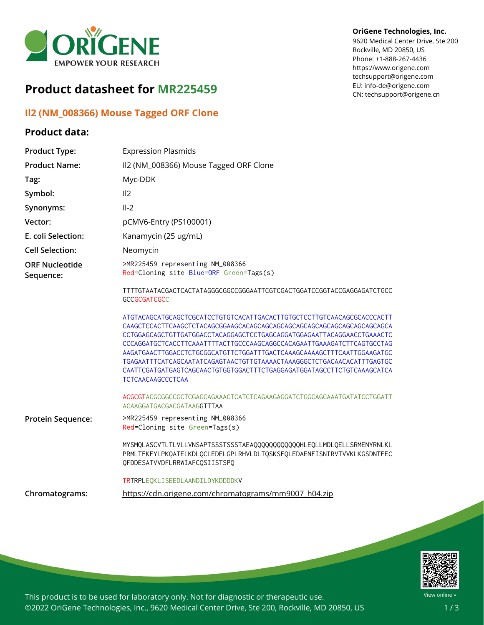

# **Product datasheet for MR225459**

## **Il2 (NM\_008366) Mouse Tagged ORF Clone**

## **Product data:**

### **OriGene Technologies, Inc.**

9620 Medical Center Drive, Ste 200 Rockville, MD 20850, US Phone: +1-888-267-4436 https://www.origene.com techsupport@origene.com EU: info-de@origene.com CN: techsupport@origene.cn

| <b>Product Type:</b>               | <b>Expression Plasmids</b>                                                                                                                                                                                                                                                                                                                                                                                                                                                           |
|------------------------------------|--------------------------------------------------------------------------------------------------------------------------------------------------------------------------------------------------------------------------------------------------------------------------------------------------------------------------------------------------------------------------------------------------------------------------------------------------------------------------------------|
| <b>Product Name:</b>               | II2 (NM_008366) Mouse Tagged ORF Clone                                                                                                                                                                                                                                                                                                                                                                                                                                               |
| Tag:                               | Myc-DDK                                                                                                                                                                                                                                                                                                                                                                                                                                                                              |
| Symbol:                            | II <sub>2</sub>                                                                                                                                                                                                                                                                                                                                                                                                                                                                      |
| Synonyms:                          | $II-2$                                                                                                                                                                                                                                                                                                                                                                                                                                                                               |
| Vector:                            | pCMV6-Entry (PS100001)                                                                                                                                                                                                                                                                                                                                                                                                                                                               |
| E. coli Selection:                 | Kanamycin (25 ug/mL)                                                                                                                                                                                                                                                                                                                                                                                                                                                                 |
| <b>Cell Selection:</b>             | Neomycin                                                                                                                                                                                                                                                                                                                                                                                                                                                                             |
| <b>ORF Nucleotide</b><br>Sequence: | >MR225459 representing NM_008366<br>Red=Cloning site Blue=ORF Green=Tags(s)                                                                                                                                                                                                                                                                                                                                                                                                          |
|                                    | TTTTGTAATACGACTCACTATAGGGCGGCCGGGAATTCGTCGACTGGATCCGGTACCGAGGAGATCTGCC<br><b>GCCGCGATCGCC</b>                                                                                                                                                                                                                                                                                                                                                                                        |
|                                    | ATGTACAGCATGCAGCTCGCATCCTGTGTCACATTGACACTTGTGCTCCTTGTCAACAGCGCACCCACTT<br>CCTGGAGCAGCTGTTGATGGACCTACAGGAGCTCCTGAGCAGGATGGAGAATTACAGGAACCTGAAACTC<br>CCCAGGATGCTCACCTTCAAATTTTACTTGCCCAAGCAGGCCACAGAATTGAAAGATCTTCAGTGCCTAG<br>AAGATGAACTTGGACCTCTGCGGCATGTTCTGGATTTGACTCAAAGCAAAAGCTTTCAATTGGAAGATGC<br>TGAGAATTTCATCAGCAATATCAGAGTAACTGTTGTAAAACTAAAGGGCTCTGACAACACATTTGAGTGC<br>CAATTCGATGATGAGTCAGCAACTGTGGTGGACTTTCTGAGGAGATGGATAGCCTTCTGTCAAAGCATCA<br><b>TCTCAACAAGCCCTCAA</b> |
|                                    | ACGCGTACGCGGCCGCTCGAGCAGAAACTCATCTCAGAAGAGGATCTGGCAGCAAATGATATCCTGGATT<br>ACAAGGATGACGACGATAAGGTTTAA                                                                                                                                                                                                                                                                                                                                                                                 |
| Protein Sequence:                  | >MR225459 representing NM_008366<br>Red=Cloning site Green=Tags(s)                                                                                                                                                                                                                                                                                                                                                                                                                   |
|                                    | MYSMQLASCVTLTLVLLVNSAPTSSSTSSSTAEAQQQQQQQQQQQQHLEQLLMDLQELLSRMENYRNLKL<br>PRMLTFKFYLPKQATELKDLQCLEDELGPLRHVLDLTQSKSFQLEDAENFISNIRVTVVKLKGSDNTFEC<br>QFDDESATVVDFLRRWIAFCQSIISTSPQ                                                                                                                                                                                                                                                                                                    |
|                                    | TRTRPLEQKLISEEDLAANDILDYKDDDDKV                                                                                                                                                                                                                                                                                                                                                                                                                                                      |
| Chromatograms:                     | https://cdn.origene.com/chromatograms/mm9007 h04.zip                                                                                                                                                                                                                                                                                                                                                                                                                                 |



This product is to be used for laboratory only. Not for diagnostic or therapeutic use. ©2022 OriGene Technologies, Inc., 9620 Medical Center Drive, Ste 200, Rockville, MD 20850, US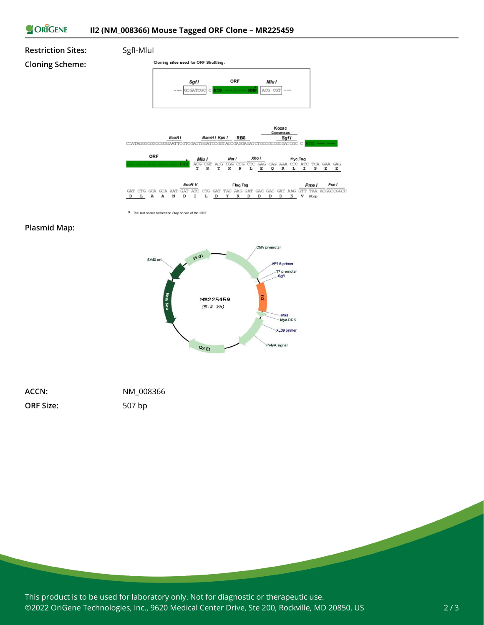#### ORIGENE **Il2 (NM\_008366) Mouse Tagged ORF Clone – MR225459**



\* The last codon before the Stop codon of the ORF

### **Plasmid Map:**



| ACCN:            | NM 008366 |
|------------------|-----------|
| <b>ORF Size:</b> | 507 bp    |

This product is to be used for laboratory only. Not for diagnostic or therapeutic use. ©2022 OriGene Technologies, Inc., 9620 Medical Center Drive, Ste 200, Rockville, MD 20850, US